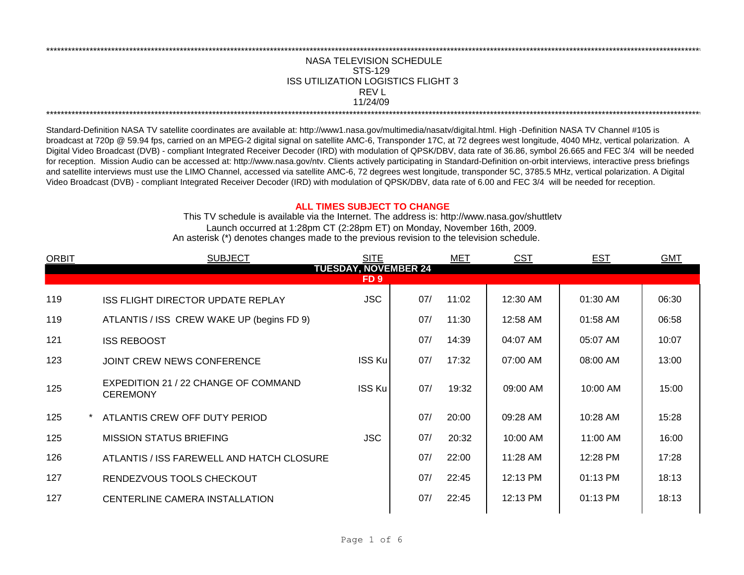## NASA TELEVISION SCHEDULE STS-129 REV L 11/24/09 \*\*\*\*\*\*\*\*\*\*\*\*\*\*\*\*\*\*\*\*\*\*\*\*\*\*\*\*\*\*\*\*\*\*\*\*\*\*\*\*\*\*\*\*\*\*\*\*\*\*\*\*\*\*\*\*\*\*\*\*\*\*\*\*\*\*\*\*\*\*\*\*\*\*\*\*\*\*\*\*\*\*\*\*\*\*\*\*\*\*\*\*\*\*\*\*\*\*\*\*\*\*\*\*\*\*\*\*\*\*\*\*\*\*\*\*\*\*\*\*\*\*\*\*\*\*\*\*\*\*\*\*\*\*\*\*\*\*\*\*\*\*\*\*\*\*\*\*\*\*\*\*\*\*\*\*\*\*\*\*\*\*\*\*\*\*\*\*\*\*\*\*\*\*\*\*\*\*\*\*\*\*\*\*\* ISS UTILIZATION LOGISTICS FLIGHT 3

\*\*\*\*\*\*\*\*\*\*\*\*\*\*\*\*\*\*\*\*\*\*\*\*\*\*\*\*\*\*\*\*\*\*\*\*\*\*\*\*\*\*\*\*\*\*\*\*\*\*\*\*\*\*\*\*\*\*\*\*\*\*\*\*\*\*\*\*\*\*\*\*\*\*\*\*\*\*\*\*\*\*\*\*\*\*\*\*\*\*\*\*\*\*\*\*\*\*\*\*\*\*\*\*\*\*\*\*\*\*\*\*\*\*\*\*\*\*\*\*\*\*\*\*\*\*\*\*\*\*\*\*\*\*\*\*\*\*\*\*\*\*\*\*\*\*\*\*\*\*\*\*\*\*\*\*\*\*\*\*\*\*\*\*\*\*\*\*\*\*\*\*\*\*\*\*\*\*\*\*\*\*\*\*\*

Standard-Definition NASA TV satellite coordinates are available at: http://www1.nasa.gov/multimedia/nasatv/digital.html. High -Definition NASA TV Channel #105 is broadcast at 720p @ 59.94 fps, carried on an MPEG-2 digital signal on satellite AMC-6, Transponder 17C, at 72 degrees west longitude, 4040 MHz, vertical polarization. A Digital Video Broadcast (DVB) - compliant Integrated Receiver Decoder (IRD) with modulation of QPSK/DBV, data rate of 36.86, symbol 26.665 and FEC 3/4 will be needed for reception. Mission Audio can be accessed at: http://www.nasa.gov/ntv. Clients actively participating in Standard-Definition on-orbit interviews, interactive press briefings and satellite interviews must use the LIMO Channel, accessed via satellite AMC-6, 72 degrees west longitude, transponder 5C, 3785.5 MHz, vertical polarization. A Digital Video Broadcast (DVB) - compliant Integrated Receiver Decoder (IRD) with modulation of QPSK/DBV, data rate of 6.00 and FEC 3/4 will be needed for reception.

## **ALL TIMES SUBJECT TO CHANGE**

Launch occurred at 1:28pm CT (2:28pm ET) on Monday, November 16th, 2009. An asterisk (\*) denotes changes made to the previous revision to the television schedule. This TV schedule is available via the Internet. The address is: http://www.nasa.gov/shuttletv

| <b>ORBIT</b>                        | <b>SUBJECT</b>                                          | <b>SITE</b>   |     | MET   | <b>CST</b> | <b>EST</b> | <b>GMT</b> |  |  |  |
|-------------------------------------|---------------------------------------------------------|---------------|-----|-------|------------|------------|------------|--|--|--|
| <b>TUESDAY, NOVEMBER 24</b><br>FD 9 |                                                         |               |     |       |            |            |            |  |  |  |
|                                     |                                                         |               |     |       |            |            |            |  |  |  |
| 119                                 | <b>ISS FLIGHT DIRECTOR UPDATE REPLAY</b>                | <b>JSC</b>    | 07/ | 11:02 | 12:30 AM   | 01:30 AM   | 06:30      |  |  |  |
| 119                                 | ATLANTIS / ISS CREW WAKE UP (begins FD 9)               |               | 07/ | 11:30 | 12:58 AM   | 01:58 AM   | 06:58      |  |  |  |
| 121                                 | <b>ISS REBOOST</b>                                      |               | 07/ | 14:39 | 04:07 AM   | 05:07 AM   | 10:07      |  |  |  |
| 123                                 | JOINT CREW NEWS CONFERENCE                              | ISS Ku        | 07/ | 17:32 | 07:00 AM   | 08:00 AM   | 13:00      |  |  |  |
| 125                                 | EXPEDITION 21 / 22 CHANGE OF COMMAND<br><b>CEREMONY</b> | <b>ISS Ku</b> | 07/ | 19:32 | 09:00 AM   | $10:00$ AM | 15:00      |  |  |  |
| 125                                 | ATLANTIS CREW OFF DUTY PERIOD                           |               | 07/ | 20:00 | 09:28 AM   | 10:28 AM   | 15:28      |  |  |  |
| 125                                 | <b>MISSION STATUS BRIEFING</b>                          | <b>JSC</b>    | 07/ | 20:32 | $10:00$ AM | 11:00 AM   | 16:00      |  |  |  |
| 126                                 | ATLANTIS / ISS FAREWELL AND HATCH CLOSURE               |               | 07/ | 22:00 | 11:28 AM   | 12:28 PM   | 17:28      |  |  |  |
| 127                                 | RENDEZVOUS TOOLS CHECKOUT                               |               | 07/ | 22:45 | 12:13 PM   | 01:13 PM   | 18:13      |  |  |  |
| 127                                 | CENTERLINE CAMERA INSTALLATION                          |               | 07/ | 22:45 | 12:13 PM   | 01:13 PM   | 18:13      |  |  |  |
|                                     |                                                         |               |     |       |            |            |            |  |  |  |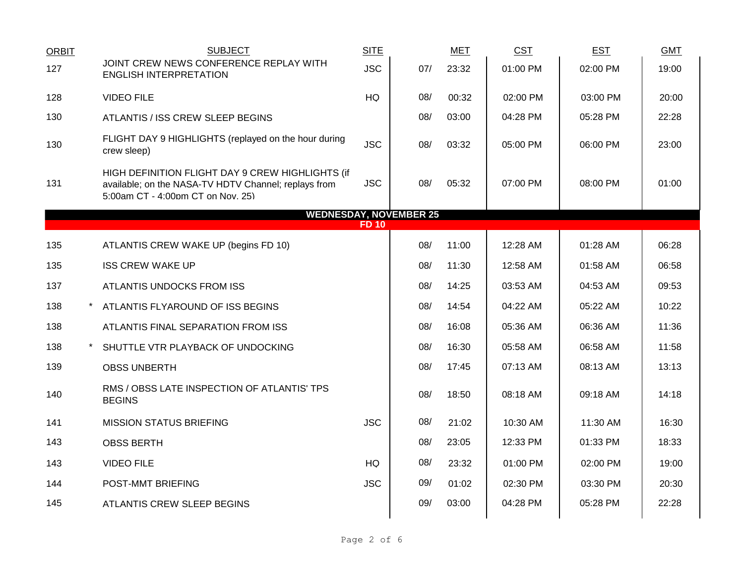| <b>ORBIT</b> | <b>SUBJECT</b>                                                                                                                                | <b>SITE</b>  |     | <b>MET</b> | <b>CST</b> | <b>EST</b> | <b>GMT</b> |
|--------------|-----------------------------------------------------------------------------------------------------------------------------------------------|--------------|-----|------------|------------|------------|------------|
| 127          | JOINT CREW NEWS CONFERENCE REPLAY WITH<br><b>ENGLISH INTERPRETATION</b>                                                                       | <b>JSC</b>   | 07/ | 23:32      | 01:00 PM   | 02:00 PM   | 19:00      |
| 128          | <b>VIDEO FILE</b>                                                                                                                             | HQ           | 08/ | 00:32      | 02:00 PM   | 03:00 PM   | 20:00      |
| 130          | ATLANTIS / ISS CREW SLEEP BEGINS                                                                                                              |              | 08/ | 03:00      | 04:28 PM   | 05:28 PM   | 22:28      |
| 130          | FLIGHT DAY 9 HIGHLIGHTS (replayed on the hour during<br>crew sleep)                                                                           | <b>JSC</b>   | 08/ | 03:32      | 05:00 PM   | 06:00 PM   | 23:00      |
| 131          | HIGH DEFINITION FLIGHT DAY 9 CREW HIGHLIGHTS (if<br>available; on the NASA-TV HDTV Channel; replays from<br>5:00am CT - 4:00pm CT on Nov. 25) | <b>JSC</b>   | 08/ | 05:32      | 07:00 PM   | 08:00 PM   | 01:00      |
|              | <b>WEDNESDAY, NOVEMBER 25</b>                                                                                                                 | <b>FD 10</b> |     |            |            |            |            |
| 135          | ATLANTIS CREW WAKE UP (begins FD 10)                                                                                                          |              | 08/ | 11:00      | 12:28 AM   | 01:28 AM   | 06:28      |
| 135          | <b>ISS CREW WAKE UP</b>                                                                                                                       |              | 08/ | 11:30      | 12:58 AM   | 01:58 AM   | 06:58      |
| 137          | ATLANTIS UNDOCKS FROM ISS                                                                                                                     |              | 08/ | 14:25      | 03:53 AM   | 04:53 AM   | 09:53      |
| 138          | ATLANTIS FLYAROUND OF ISS BEGINS                                                                                                              |              | 08/ | 14:54      | 04:22 AM   | 05:22 AM   | 10:22      |
| 138          | ATLANTIS FINAL SEPARATION FROM ISS                                                                                                            |              | 08/ | 16:08      | 05:36 AM   | 06:36 AM   | 11:36      |
| 138          | SHUTTLE VTR PLAYBACK OF UNDOCKING                                                                                                             |              | 08/ | 16:30      | 05:58 AM   | 06:58 AM   | 11:58      |
| 139          | <b>OBSS UNBERTH</b>                                                                                                                           |              | 08/ | 17:45      | 07:13 AM   | 08:13 AM   | 13:13      |
| 140          | RMS / OBSS LATE INSPECTION OF ATLANTIS' TPS<br><b>BEGINS</b>                                                                                  |              | 08/ | 18:50      | 08:18 AM   | 09:18 AM   | 14:18      |
| 141          | <b>MISSION STATUS BRIEFING</b>                                                                                                                | <b>JSC</b>   | 08/ | 21:02      | 10:30 AM   | 11:30 AM   | 16:30      |
| 143          | <b>OBSS BERTH</b>                                                                                                                             |              | 08/ | 23:05      | 12:33 PM   | 01:33 PM   | 18:33      |
| 143          | <b>VIDEO FILE</b>                                                                                                                             | <b>HQ</b>    | 08/ | 23:32      | 01:00 PM   | 02:00 PM   | 19:00      |
| 144          | POST-MMT BRIEFING                                                                                                                             | <b>JSC</b>   | 09/ | 01:02      | 02:30 PM   | 03:30 PM   | 20:30      |
| 145          | ATLANTIS CREW SLEEP BEGINS                                                                                                                    |              | 09/ | 03:00      | 04:28 PM   | 05:28 PM   | 22:28      |
|              |                                                                                                                                               |              |     |            |            |            |            |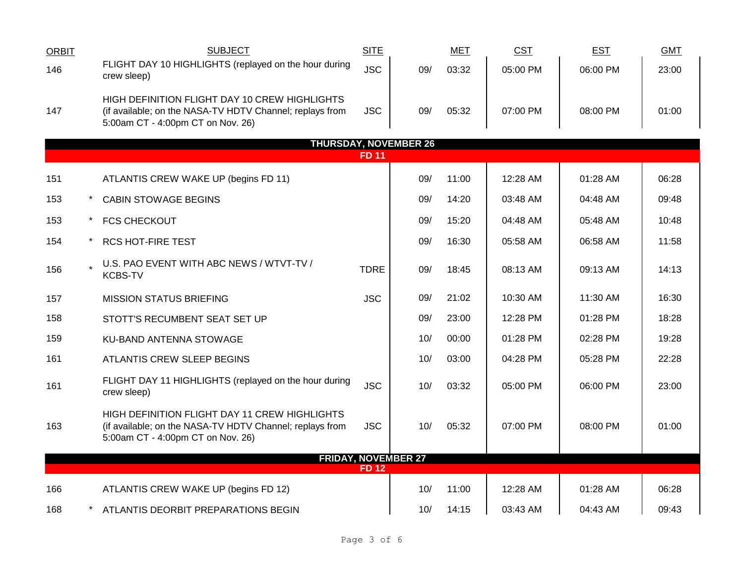| <b>ORBIT</b>                 |  | <b>SUBJECT</b>                                                                                                                                 | <b>SITE</b>  |                            | <b>MET</b> | <b>CST</b> | <b>EST</b> | <b>GMT</b> |  |
|------------------------------|--|------------------------------------------------------------------------------------------------------------------------------------------------|--------------|----------------------------|------------|------------|------------|------------|--|
| 146                          |  | FLIGHT DAY 10 HIGHLIGHTS (replayed on the hour during<br>crew sleep)                                                                           | <b>JSC</b>   | 09/                        | 03:32      | 05:00 PM   | 06:00 PM   | 23:00      |  |
| 147                          |  | HIGH DEFINITION FLIGHT DAY 10 CREW HIGHLIGHTS<br>(if available; on the NASA-TV HDTV Channel; replays from<br>5:00am CT - 4:00pm CT on Nov. 26) | <b>JSC</b>   | 09/                        | 05:32      | 07:00 PM   | 08:00 PM   | 01:00      |  |
| <b>THURSDAY, NOVEMBER 26</b> |  |                                                                                                                                                |              |                            |            |            |            |            |  |
|                              |  |                                                                                                                                                | <b>FD 11</b> |                            |            |            |            |            |  |
| 151                          |  | ATLANTIS CREW WAKE UP (begins FD 11)                                                                                                           |              | 09/                        | 11:00      | 12:28 AM   | 01:28 AM   | 06:28      |  |
| 153                          |  | <b>CABIN STOWAGE BEGINS</b>                                                                                                                    |              | 09/                        | 14:20      | 03:48 AM   | 04:48 AM   | 09:48      |  |
| 153                          |  | <b>FCS CHECKOUT</b>                                                                                                                            |              | 09/                        | 15:20      | 04:48 AM   | 05:48 AM   | 10:48      |  |
| 154                          |  | <b>RCS HOT-FIRE TEST</b>                                                                                                                       |              | 09/                        | 16:30      | 05:58 AM   | 06:58 AM   | 11:58      |  |
| 156                          |  | U.S. PAO EVENT WITH ABC NEWS / WTVT-TV /<br><b>KCBS-TV</b>                                                                                     | <b>TDRE</b>  | 09/                        | 18:45      | 08:13 AM   | 09:13 AM   | 14:13      |  |
| 157                          |  | <b>MISSION STATUS BRIEFING</b>                                                                                                                 | <b>JSC</b>   | 09/                        | 21:02      | 10:30 AM   | 11:30 AM   | 16:30      |  |
| 158                          |  | STOTT'S RECUMBENT SEAT SET UP                                                                                                                  |              | 09/                        | 23:00      | 12:28 PM   | 01:28 PM   | 18:28      |  |
| 159                          |  | KU-BAND ANTENNA STOWAGE                                                                                                                        |              | 10/                        | 00:00      | 01:28 PM   | 02:28 PM   | 19:28      |  |
| 161                          |  | ATLANTIS CREW SLEEP BEGINS                                                                                                                     |              | 10/                        | 03:00      | 04:28 PM   | 05:28 PM   | 22:28      |  |
| 161                          |  | FLIGHT DAY 11 HIGHLIGHTS (replayed on the hour during<br>crew sleep)                                                                           | <b>JSC</b>   | 10/                        | 03:32      | 05:00 PM   | 06:00 PM   | 23:00      |  |
| 163                          |  | HIGH DEFINITION FLIGHT DAY 11 CREW HIGHLIGHTS<br>(if available; on the NASA-TV HDTV Channel; replays from<br>5:00am CT - 4:00pm CT on Nov. 26) | <b>JSC</b>   | 10/                        | 05:32      | 07:00 PM   | 08:00 PM   | 01:00      |  |
|                              |  |                                                                                                                                                |              | <b>FRIDAY, NOVEMBER 27</b> |            |            |            |            |  |
|                              |  |                                                                                                                                                | <b>FD 12</b> |                            |            |            |            |            |  |
| 166                          |  | ATLANTIS CREW WAKE UP (begins FD 12)                                                                                                           |              | 10/                        | 11:00      | 12:28 AM   | 01:28 AM   | 06:28      |  |
| 168                          |  | ATLANTIS DEORBIT PREPARATIONS BEGIN                                                                                                            |              | 10/                        | 14:15      | 03:43 AM   | 04:43 AM   | 09:43      |  |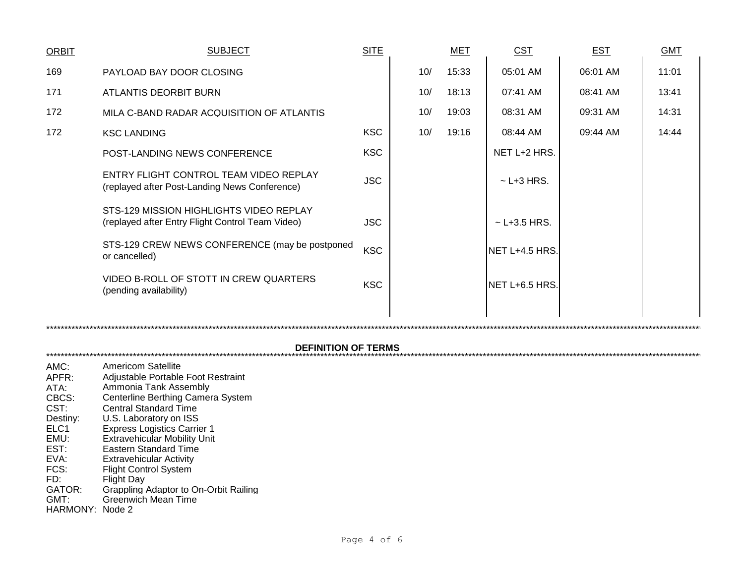| <b>ORBIT</b>                                                       | <b>SUBJECT</b>                                                                                                                                                                                                                                                       | <b>SITE</b> |     | <b>MET</b> | <b>CST</b>        | <b>EST</b> | <b>GMT</b> |
|--------------------------------------------------------------------|----------------------------------------------------------------------------------------------------------------------------------------------------------------------------------------------------------------------------------------------------------------------|-------------|-----|------------|-------------------|------------|------------|
| 169                                                                | PAYLOAD BAY DOOR CLOSING                                                                                                                                                                                                                                             |             | 10/ | 15:33      | 05:01 AM          | 06:01 AM   | 11:01      |
| 171                                                                | <b>ATLANTIS DEORBIT BURN</b>                                                                                                                                                                                                                                         |             | 10/ | 18:13      | 07:41 AM          | 08:41 AM   | 13:41      |
| 172                                                                | MILA C-BAND RADAR ACQUISITION OF ATLANTIS                                                                                                                                                                                                                            |             | 10/ | 19:03      | 08:31 AM          | 09:31 AM   | 14:31      |
| 172                                                                | <b>KSC LANDING</b>                                                                                                                                                                                                                                                   | <b>KSC</b>  | 10/ | 19:16      | 08:44 AM          | 09:44 AM   | 14:44      |
|                                                                    | POST-LANDING NEWS CONFERENCE                                                                                                                                                                                                                                         | <b>KSC</b>  |     |            | NET L+2 HRS.      |            |            |
|                                                                    | ENTRY FLIGHT CONTROL TEAM VIDEO REPLAY<br>(replayed after Post-Landing News Conference)                                                                                                                                                                              | <b>JSC</b>  |     |            | $\sim$ L+3 HRS.   |            |            |
|                                                                    | STS-129 MISSION HIGHLIGHTS VIDEO REPLAY<br>(replayed after Entry Flight Control Team Video)                                                                                                                                                                          | <b>JSC</b>  |     |            | $\sim$ L+3.5 HRS. |            |            |
|                                                                    | STS-129 CREW NEWS CONFERENCE (may be postponed<br>or cancelled)                                                                                                                                                                                                      | <b>KSC</b>  |     |            | NET L+4.5 HRS.    |            |            |
|                                                                    | VIDEO B-ROLL OF STOTT IN CREW QUARTERS<br>(pending availability)                                                                                                                                                                                                     | <b>KSC</b>  |     |            | NET L+6.5 HRS.    |            |            |
|                                                                    |                                                                                                                                                                                                                                                                      |             |     |            |                   |            |            |
|                                                                    |                                                                                                                                                                                                                                                                      |             |     |            |                   |            |            |
|                                                                    | <b>DEFINITION OF TERMS</b>                                                                                                                                                                                                                                           |             |     |            |                   |            |            |
| AMC:<br>APFR:<br>ATA:<br>CBCS:<br>CST:<br>Destiny:<br>ELC1<br>EMU: | <b>Americom Satellite</b><br>Adjustable Portable Foot Restraint<br>Ammonia Tank Assembly<br>Centerline Berthing Camera System<br><b>Central Standard Time</b><br>U.S. Laboratory on ISS<br><b>Express Logistics Carrier 1</b><br><b>Extravehicular Mobility Unit</b> |             |     |            |                   |            |            |

- EST: Eastern Standard Time
- EVA:
- FCS:
- $FD:$
- Eastern Standard Time<br>Extravehicular Activity<br>Flight Control System<br>Flight Day<br>Grappling Adaptor to On-Orbit Railing<br>Greenwich Mean Time **GATOR:**
- GMT:
- HARMONY: Node 2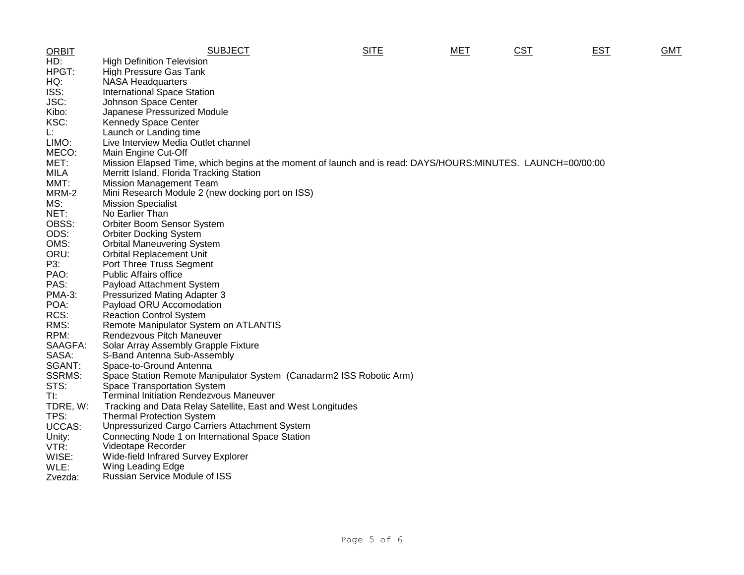| <b>ORBIT</b>  | <b>SUBJECT</b>                                                                                              | <b>SITE</b> | MET | <u>CST</u> | <b>EST</b> | <b>GMT</b> |
|---------------|-------------------------------------------------------------------------------------------------------------|-------------|-----|------------|------------|------------|
| HD:           | <b>High Definition Television</b>                                                                           |             |     |            |            |            |
| HPGT:         | <b>High Pressure Gas Tank</b>                                                                               |             |     |            |            |            |
| HQ:           | <b>NASA Headquarters</b>                                                                                    |             |     |            |            |            |
| ISS:          | <b>International Space Station</b>                                                                          |             |     |            |            |            |
| JSC:          | Johnson Space Center                                                                                        |             |     |            |            |            |
| Kibo:         | Japanese Pressurized Module                                                                                 |             |     |            |            |            |
| KSC:          | <b>Kennedy Space Center</b>                                                                                 |             |     |            |            |            |
| Ŀ.            | Launch or Landing time                                                                                      |             |     |            |            |            |
| LIMO:         | Live Interview Media Outlet channel                                                                         |             |     |            |            |            |
| MECO:         | Main Engine Cut-Off                                                                                         |             |     |            |            |            |
| MET:          | Mission Elapsed Time, which begins at the moment of launch and is read: DAYS/HOURS:MINUTES. LAUNCH=00/00:00 |             |     |            |            |            |
| <b>MILA</b>   | Merritt Island, Florida Tracking Station                                                                    |             |     |            |            |            |
| MMT:          | <b>Mission Management Team</b>                                                                              |             |     |            |            |            |
| MRM-2         | Mini Research Module 2 (new docking port on ISS)                                                            |             |     |            |            |            |
| MS:           | <b>Mission Specialist</b>                                                                                   |             |     |            |            |            |
| NET:          | No Earlier Than                                                                                             |             |     |            |            |            |
| OBSS:         | Orbiter Boom Sensor System                                                                                  |             |     |            |            |            |
| ODS:          | <b>Orbiter Docking System</b>                                                                               |             |     |            |            |            |
| OMS:          | <b>Orbital Maneuvering System</b>                                                                           |             |     |            |            |            |
| ORU:          | <b>Orbital Replacement Unit</b>                                                                             |             |     |            |            |            |
| P3:           | Port Three Truss Segment                                                                                    |             |     |            |            |            |
| PAO:          | <b>Public Affairs office</b>                                                                                |             |     |            |            |            |
| PAS:          | Payload Attachment System                                                                                   |             |     |            |            |            |
| <b>PMA-3:</b> | <b>Pressurized Mating Adapter 3</b>                                                                         |             |     |            |            |            |
| POA:          | Payload ORU Accomodation                                                                                    |             |     |            |            |            |
| RCS:          | <b>Reaction Control System</b>                                                                              |             |     |            |            |            |
| RMS:          | Remote Manipulator System on ATLANTIS                                                                       |             |     |            |            |            |
| RPM:          | <b>Rendezvous Pitch Maneuver</b>                                                                            |             |     |            |            |            |
| SAAGFA:       | Solar Array Assembly Grapple Fixture                                                                        |             |     |            |            |            |
| SASA:         | S-Band Antenna Sub-Assembly                                                                                 |             |     |            |            |            |
| SGANT:        | Space-to-Ground Antenna                                                                                     |             |     |            |            |            |
| <b>SSRMS:</b> | Space Station Remote Manipulator System (Canadarm2 ISS Robotic Arm)                                         |             |     |            |            |            |
| STS:          | <b>Space Transportation System</b>                                                                          |             |     |            |            |            |
| TI:           | <b>Terminal Initiation Rendezvous Maneuver</b>                                                              |             |     |            |            |            |
| TDRE, W:      | Tracking and Data Relay Satellite, East and West Longitudes                                                 |             |     |            |            |            |
| TPS:          | <b>Thermal Protection System</b>                                                                            |             |     |            |            |            |
| UCCAS:        | Unpressurized Cargo Carriers Attachment System                                                              |             |     |            |            |            |
| Unity:        | Connecting Node 1 on International Space Station                                                            |             |     |            |            |            |
| VTR:          | Videotape Recorder                                                                                          |             |     |            |            |            |
| WISE:         | Wide-field Infrared Survey Explorer                                                                         |             |     |            |            |            |
| WLE:          | Wing Leading Edge                                                                                           |             |     |            |            |            |
| Zvezda:       | <b>Russian Service Module of ISS</b>                                                                        |             |     |            |            |            |